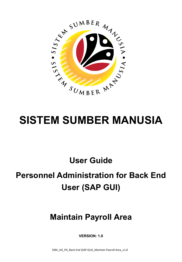

# **SISTEM SUMBER MANUSIA**

**User Guide**

## **Personnel Administration for Back End User (SAP GUI)**

### **Maintain Payroll Area**

**VERSION: 1.0**

SSM\_UG\_PA\_Back End (SAP GUI)\_Maintain Payroll Area\_v1.0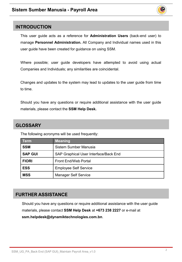

#### <span id="page-1-0"></span>**INTRODUCTION**

This user guide acts as a reference for **Administration Users** (back-end user) to manage **Personnel Administration.** All Company and Individual names used in this user guide have been created for guidance on using SSM.

Where possible; user guide developers have attempted to avoid using actual Companies and Individuals; any similarities are coincidental.

Changes and updates to the system may lead to updates to the user guide from time to time.

Should you have any questions or require additional assistance with the user guide materials, please contact the **SSM Help Desk.**

#### **GLOSSARY**

The following acronyms will be used frequently:

| <b>Term</b>    | <b>Meaning</b>                        |
|----------------|---------------------------------------|
| <b>SSM</b>     | Sistem Sumber Manusia                 |
| <b>SAP GUI</b> | SAP Graphical User Interface/Back End |
| <b>FIORI</b>   | <b>Front End/Web Portal</b>           |
| <b>ESS</b>     | <b>Employee Self Service</b>          |
| <b>MSS</b>     | <b>Manager Self Service</b>           |

#### **FURTHER ASSISTANCE**

Should you have any questions or require additional assistance with the user guide materials, please contact **SSM Help Desk** at **+673 238 2227** or e-mail at **ssm.helpdesk@dynamiktechnologies.com.bn**.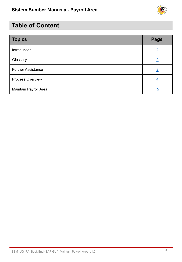

### **Table of Content**

| <b>Topics</b>             | Page           |
|---------------------------|----------------|
| Introduction              | $\overline{2}$ |
| Glossary                  | $\overline{2}$ |
| <b>Further Assistance</b> | $\overline{2}$ |
| <b>Process Overview</b>   | $\overline{4}$ |
| Maintain Payroll Area     | <u>5</u>       |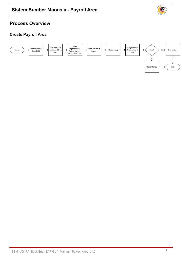#### **Process Overview**

#### **Create Payroll Area**



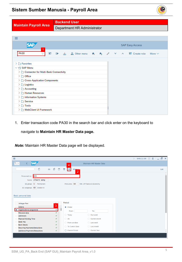#### SSM\_UG\_PA\_Back End (SAP GUI)\_Maintain Payroll Area\_v1.0

#### <span id="page-4-0"></span>**Sistem Sumber Manusia - Payroll Area**

**Backend User**

| <b>Maintain Payroll Area</b>                                                                                                                                                                                                                           | Department HR Administrator                                             |  |  |  |  |  |  |  |  |  |
|--------------------------------------------------------------------------------------------------------------------------------------------------------------------------------------------------------------------------------------------------------|-------------------------------------------------------------------------|--|--|--|--|--|--|--|--|--|
|                                                                                                                                                                                                                                                        |                                                                         |  |  |  |  |  |  |  |  |  |
| ≡                                                                                                                                                                                                                                                      |                                                                         |  |  |  |  |  |  |  |  |  |
| <b>SAP</b>                                                                                                                                                                                                                                             | <b>SAP Easy Access</b>                                                  |  |  |  |  |  |  |  |  |  |
| <b>PA30</b><br>圕                                                                                                                                                                                                                                       | 当吕Othermenu ★ ★ / V<br>Create role<br>D.<br>$\mathbf{A}$<br>More $\vee$ |  |  |  |  |  |  |  |  |  |
| > Favorites<br>$\vee$ $\Box$ SAP Menu<br>$\triangleright$ $\triangleright$ Connector for Multi-Bank Connectivity<br>$\sum$ Office<br>> Cross-Application Components<br>$\geq$ $\Box$ Logistics<br>$\geq$ $\Box$ Accounting<br>> $\Box$ Human Resources |                                                                         |  |  |  |  |  |  |  |  |  |
| > $\Box$ Information Systems<br>$\sum$ Service<br>$\geq \Box$ Tools<br>> □ WebClient UI Framework                                                                                                                                                      |                                                                         |  |  |  |  |  |  |  |  |  |

1. Enter transaction code PA30 in the search bar and click enter on the keyboard to

navigate to **Maintain HR Master Data page.**

*Note:* Maintain HR Master Data page will be displayed.

| $\equiv$                                                                                                                                                                                                                                                                                                                                                   |                                                                                                                                                                                                                                           | GHQ (1) 230 $\boxed{\phantom{1}}$ 6 $\boxed{\phantom{1}}$ $\boxed{\phantom{1}}$ $\times$<br>$\sum$ |
|------------------------------------------------------------------------------------------------------------------------------------------------------------------------------------------------------------------------------------------------------------------------------------------------------------------------------------------------------------|-------------------------------------------------------------------------------------------------------------------------------------------------------------------------------------------------------------------------------------------|----------------------------------------------------------------------------------------------------|
| <b>SAP</b><br>$\mathbb{R} \times$<br>$\left\langle \right\rangle$                                                                                                                                                                                                                                                                                          | Maintain HR Master Data<br>4                                                                                                                                                                                                              |                                                                                                    |
| €<br>$\Box$<br>$6\delta$<br>□ 画<br>$\checkmark$                                                                                                                                                                                                                                                                                                            | B<br>More V<br>$\overline{2}$                                                                                                                                                                                                             | Exit                                                                                               |
| Personnel no.: 843<br>Name: Albert Wong<br>EE group: $1$ Permanent<br>EE subgroup: 02 Division II<br>Basic personal data                                                                                                                                                                                                                                   | Min. of Finance & Economy<br>Pers.area: SD                                                                                                                                                                                                | $\hat{\phantom{a}}$<br>v                                                                           |
| Infotype Text                                                                                                                                                                                                                                                                                                                                              | Period                                                                                                                                                                                                                                    |                                                                                                    |
| $\sqrt{3}$<br>¢<br><b>Actions</b><br>$\checkmark$<br>• Organizational assignment<br>$\checkmark$<br>Personal data<br>$\checkmark$<br><b>Addresses</b><br><b>Planned Working Time</b><br>✓<br><b>Basic Pay</b><br>$\checkmark$<br><b>Bank Details</b><br>✓<br><b>Recurring Payments/Deductions</b><br><b>Additional Payments/Deductions</b><br>$\checkmark$ | • Period<br>From:<br>To:<br>$\bigcirc$ Today<br>C Curr.week<br>$\bigcirc$ All<br>C Current month<br>◯ From curr.date<br>$\bigcirc$ Last week<br>◯ To Current Date<br>$\bigcirc$ Last month<br>$\bigcirc$ Current Period<br>◯ Current Year | ۸                                                                                                  |
|                                                                                                                                                                                                                                                                                                                                                            |                                                                                                                                                                                                                                           |                                                                                                    |

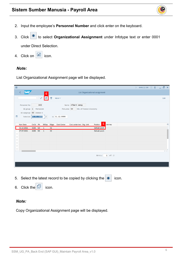#### **Sistem Sumber Manusia - Payroll Area**



3. Click <sup>o</sup> to select **Organizational Assignment** under Infotype text or enter 0001

under Direct Selection.

4. Click on  $\boxed{4}$  icon.

#### *Note:*

List Organizational Assignment page will be displayed.

| $\equiv$                                                                       |                                                                                                |         |                         |                 |                         |                                 |                            |                           |                                                       |           |   | $\rightarrow$ GHQ (1) 230 <b>6</b> 6 $\rightarrow$ 5 $\times$ |  |                   |
|--------------------------------------------------------------------------------|------------------------------------------------------------------------------------------------|---------|-------------------------|-----------------|-------------------------|---------------------------------|----------------------------|---------------------------|-------------------------------------------------------|-----------|---|---------------------------------------------------------------|--|-------------------|
|                                                                                | <b>SAP</b>                                                                                     |         |                         | $6\overline{6}$ |                         |                                 |                            |                           | List Organizational assignment                        |           |   |                                                               |  |                   |
|                                                                                |                                                                                                |         | $\sim$<br>$\mathscr{O}$ | O               | $\overline{\textbf{w}}$ | More $\vee$                     |                            |                           |                                                       |           |   |                                                               |  | Exit              |
| 曲                                                                              | Personnel No:<br>EE group: 1 Permanent<br>EE subgroup: 02 Division II<br>Selection: 01.01.1800 |         | 843                     | 问               |                         | Pers.area: SD<br>to: 31.12.9999 | Name: Albert Wong          | Min. of Finance & Economy |                                                       |           |   |                                                               |  |                   |
|                                                                                | <b>Start Date</b>                                                                              | CoCd PA |                         |                 | EEGrp ESgrp             | <b>Cost Center</b>              | Cost center text Org. Unit |                           | Position                                              | 5 Job key |   |                                                               |  | ◎                 |
|                                                                                | 01.10.2021                                                                                     | GOB SD  |                         | $\mathbf{1}$    | 02                      |                                 |                            |                           | Default positi.                                       |           |   |                                                               |  | ¢                 |
| $\bigcirc$<br>$\circ$<br>$\circ$<br>$\circ$<br>$\circ$<br>$\frac{1}{\sqrt{2}}$ | 27.07.2021                                                                                     | GOB SD  |                         | $\overline{1}$  | 02                      |                                 |                            |                           | Default positi.                                       |           |   |                                                               |  |                   |
| ⊏                                                                              | $\langle \cdot \rangle$                                                                        |         |                         |                 |                         |                                 |                            |                           |                                                       |           |   |                                                               |  | $\leftrightarrow$ |
|                                                                                |                                                                                                |         |                         |                 |                         |                                 |                            |                           | Entry:                                                | $1$ of: 2 |   |                                                               |  |                   |
| Е.                                                                             |                                                                                                |         |                         |                 |                         |                                 |                            |                           | Soloct the latest record to be conjed by clicking the | $\bigcap$ | i |                                                               |  |                   |

5. Select the latest record to be copied by clicking the  $\bullet$  icon.

6. Click the  $\boxed{=}$  icon.

#### *Note:*

Copy Organizational Assignment page will be displayed.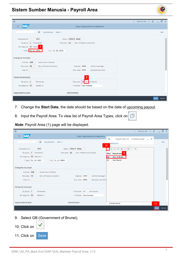#### **Sistem Sumber Manusia - Payroll Area**

| $\equiv$                                                                                                                                                                                |                                                                           | GHQ (1) 230 $\boxed{6}$ $\boxed{=}$ $\boxed{0}$ $\times$<br>$\rightarrow$ |
|-----------------------------------------------------------------------------------------------------------------------------------------------------------------------------------------|---------------------------------------------------------------------------|---------------------------------------------------------------------------|
| <b>SAP</b>                                                                                                                                                                              | Copy Organizational assignment                                            |                                                                           |
| $\checkmark$<br>$\blacksquare$<br><b>Org Structure</b><br>More $\vee$                                                                                                                   |                                                                           | Exit                                                                      |
| 843<br>Personnel No:<br>EE group: $1$<br>Permanent<br>EE subgroup: 02 Divisio<br>* Start: 01.11.2021<br>* to: 31.10.2021<br>Enterprise structure<br>Government of Brunei<br>CoCode: GOB | Name: Albert Wong<br>Min. of Finance & Economy<br>Pers.area: SD           |                                                                           |
| Pers.area: SD<br>Min. of Finance & Econom<br>Cost Ctr:                                                                                                                                  | Subarea: SD01<br>Jbt Km Kewangan<br>Bus. Area: 0001<br>Business area 0001 |                                                                           |
| <b>Personnel structure</b>                                                                                                                                                              | 8                                                                         |                                                                           |
| EE group: $1$<br>Permanent                                                                                                                                                              | * Payr.area:  ZZ<br><b>Ion Payroll</b>                                    |                                                                           |
| EE subgroup: 02<br><b>Division II</b>                                                                                                                                                   | * Contract: Non Contract<br>$\checkmark$                                  |                                                                           |
| Organizational plan                                                                                                                                                                     | Administrator                                                             |                                                                           |
|                                                                                                                                                                                         |                                                                           | Save<br>Cancel                                                            |

- 7. Change the **Start Date**, the date should be based on the date of upcoming payout.
- 8. Input the Payroll Area. To view list of Payroll Area Types, click on  $\boxed{\Box}$

*Note*: Payroll Area (1) page will be displayed.

| $\equiv$                                           |                                                                                     | GHQ (1) 230 $\boxed{\phantom{1}}$ 6 $\boxed{\phantom{1}}$ 5 $\times$                                  |                |
|----------------------------------------------------|-------------------------------------------------------------------------------------|-------------------------------------------------------------------------------------------------------|----------------|
| <b>SAP</b>                                         | Copy Organizational assignment                                                      | $\equiv$<br>Payroll Area (1)<br>2 Entries found<br>$- x$                                              |                |
|                                                    | $\checkmark$<br>$\overline{\mathbb{R}}$<br><b>Org Structure</b><br>More $\vee$      | <b>Pestrictions</b>                                                                                   | Exit           |
| Personnel No:<br>EE group: $1$                     | Name: Albert Wong<br>843<br>Min. of Finance & Economy<br>Permanent<br>Pers.area: SD | 10<br>$\checkmark$<br>$Q Q \uparrow \star P Q Q$<br>∣√<br>$\boxed{\mathbf{x}}$<br>PAre Payroll area 9 | $\checkmark$   |
| EE subgroup: 02 Division II<br>* Start: 01.10.2021 | * to: 31.12.9999                                                                    | <b>GB</b><br>Gov. of Brunei<br><b>ZZ</b><br><b>Non Payroll</b>                                        |                |
| Enterprise structure                               |                                                                                     |                                                                                                       |                |
| CoCode: GOB                                        | Government of Brunei                                                                |                                                                                                       |                |
| Pers.area: SD                                      | Min. of Finance & Econom<br>Subarea: SD01<br>Jbt Km Kewangan                        |                                                                                                       |                |
| Cost Ctr:                                          | Bus. Area: 0001<br>Business area 0001                                               |                                                                                                       |                |
| Personnel structure                                |                                                                                     |                                                                                                       |                |
| EE group: $1$                                      | * Payr.area: ZZ<br>Non Payroll<br>Permanent                                         |                                                                                                       |                |
| EE subgroup: 02                                    | <b>Division II</b><br>* Contract: Non Contract<br>$\checkmark$                      |                                                                                                       |                |
| Organizational plan                                | Administrator                                                                       |                                                                                                       |                |
|                                                    |                                                                                     | 2 Entries found                                                                                       | 11             |
|                                                    |                                                                                     |                                                                                                       | Cancel<br>Save |

9. Select GB (Government of Brunei).

| 10. Click on |             |
|--------------|-------------|
| 11. Click on | <b>Save</b> |

02